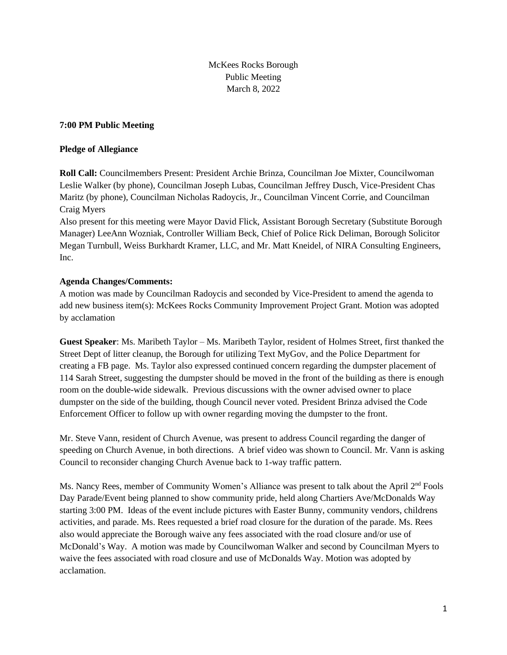McKees Rocks Borough Public Meeting March 8, 2022

## **7:00 PM Public Meeting**

### **Pledge of Allegiance**

**Roll Call:** Councilmembers Present: President Archie Brinza, Councilman Joe Mixter, Councilwoman Leslie Walker (by phone), Councilman Joseph Lubas, Councilman Jeffrey Dusch, Vice-President Chas Maritz (by phone), Councilman Nicholas Radoycis, Jr., Councilman Vincent Corrie, and Councilman Craig Myers

Also present for this meeting were Mayor David Flick, Assistant Borough Secretary (Substitute Borough Manager) LeeAnn Wozniak, Controller William Beck, Chief of Police Rick Deliman, Borough Solicitor Megan Turnbull, Weiss Burkhardt Kramer, LLC, and Mr. Matt Kneidel, of NIRA Consulting Engineers, Inc.

# **Agenda Changes/Comments:**

A motion was made by Councilman Radoycis and seconded by Vice-President to amend the agenda to add new business item(s): McKees Rocks Community Improvement Project Grant. Motion was adopted by acclamation

**Guest Speaker**: Ms. Maribeth Taylor – Ms. Maribeth Taylor, resident of Holmes Street, first thanked the Street Dept of litter cleanup, the Borough for utilizing Text MyGov, and the Police Department for creating a FB page. Ms. Taylor also expressed continued concern regarding the dumpster placement of 114 Sarah Street, suggesting the dumpster should be moved in the front of the building as there is enough room on the double-wide sidewalk. Previous discussions with the owner advised owner to place dumpster on the side of the building, though Council never voted. President Brinza advised the Code Enforcement Officer to follow up with owner regarding moving the dumpster to the front.

Mr. Steve Vann, resident of Church Avenue, was present to address Council regarding the danger of speeding on Church Avenue, in both directions. A brief video was shown to Council. Mr. Vann is asking Council to reconsider changing Church Avenue back to 1-way traffic pattern.

Ms. Nancy Rees, member of Community Women's Alliance was present to talk about the April  $2<sup>nd</sup>$  Fools Day Parade/Event being planned to show community pride, held along Chartiers Ave/McDonalds Way starting 3:00 PM. Ideas of the event include pictures with Easter Bunny, community vendors, childrens activities, and parade. Ms. Rees requested a brief road closure for the duration of the parade. Ms. Rees also would appreciate the Borough waive any fees associated with the road closure and/or use of McDonald's Way. A motion was made by Councilwoman Walker and second by Councilman Myers to waive the fees associated with road closure and use of McDonalds Way. Motion was adopted by acclamation.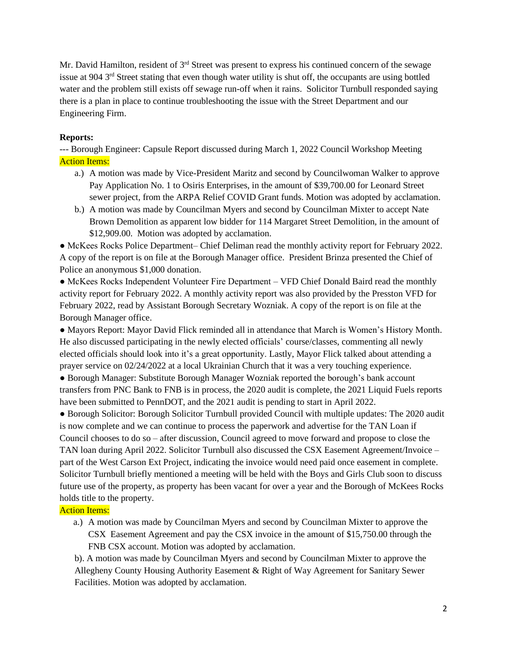Mr. David Hamilton, resident of 3<sup>rd</sup> Street was present to express his continued concern of the sewage issue at 904 3<sup>rd</sup> Street stating that even though water utility is shut off, the occupants are using bottled water and the problem still exists off sewage run-off when it rains. Solicitor Turnbull responded saying there is a plan in place to continue troubleshooting the issue with the Street Department and our Engineering Firm.

## **Reports:**

--- Borough Engineer: Capsule Report discussed during March 1, 2022 Council Workshop Meeting **Action Items:** 

- a.) A motion was made by Vice-President Maritz and second by Councilwoman Walker to approve Pay Application No. 1 to Osiris Enterprises, in the amount of \$39,700.00 for Leonard Street sewer project, from the ARPA Relief COVID Grant funds. Motion was adopted by acclamation.
- b.) A motion was made by Councilman Myers and second by Councilman Mixter to accept Nate Brown Demolition as apparent low bidder for 114 Margaret Street Demolition, in the amount of \$12,909.00. Motion was adopted by acclamation.

● McKees Rocks Police Department– Chief Deliman read the monthly activity report for February 2022. A copy of the report is on file at the Borough Manager office. President Brinza presented the Chief of Police an anonymous \$1,000 donation.

● McKees Rocks Independent Volunteer Fire Department – VFD Chief Donald Baird read the monthly activity report for February 2022. A monthly activity report was also provided by the Presston VFD for February 2022, read by Assistant Borough Secretary Wozniak. A copy of the report is on file at the Borough Manager office.

● Mayors Report: Mayor David Flick reminded all in attendance that March is Women's History Month. He also discussed participating in the newly elected officials' course/classes, commenting all newly elected officials should look into it's a great opportunity. Lastly, Mayor Flick talked about attending a prayer service on 02/24/2022 at a local Ukrainian Church that it was a very touching experience.

● Borough Manager: Substitute Borough Manager Wozniak reported the borough's bank account transfers from PNC Bank to FNB is in process, the 2020 audit is complete, the 2021 Liquid Fuels reports have been submitted to PennDOT, and the 2021 audit is pending to start in April 2022.

● Borough Solicitor: Borough Solicitor Turnbull provided Council with multiple updates: The 2020 audit is now complete and we can continue to process the paperwork and advertise for the TAN Loan if Council chooses to do so – after discussion, Council agreed to move forward and propose to close the TAN loan during April 2022. Solicitor Turnbull also discussed the CSX Easement Agreement/Invoice – part of the West Carson Ext Project, indicating the invoice would need paid once easement in complete. Solicitor Turnbull briefly mentioned a meeting will be held with the Boys and Girls Club soon to discuss future use of the property, as property has been vacant for over a year and the Borough of McKees Rocks holds title to the property.

**Action Items:** 

a.) A motion was made by Councilman Myers and second by Councilman Mixter to approve the CSX Easement Agreement and pay the CSX invoice in the amount of \$15,750.00 through the FNB CSX account. Motion was adopted by acclamation.

b). A motion was made by Councilman Myers and second by Councilman Mixter to approve the Allegheny County Housing Authority Easement & Right of Way Agreement for Sanitary Sewer Facilities. Motion was adopted by acclamation.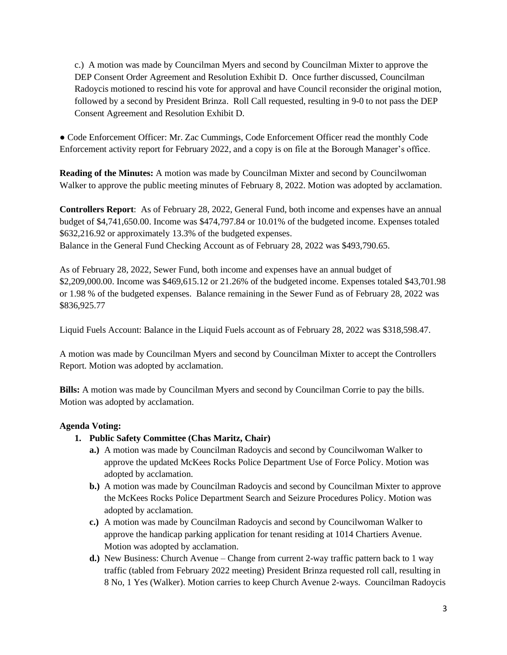c.) A motion was made by Councilman Myers and second by Councilman Mixter to approve the DEP Consent Order Agreement and Resolution Exhibit D. Once further discussed, Councilman Radoycis motioned to rescind his vote for approval and have Council reconsider the original motion, followed by a second by President Brinza. Roll Call requested, resulting in 9-0 to not pass the DEP Consent Agreement and Resolution Exhibit D.

● Code Enforcement Officer: Mr. Zac Cummings, Code Enforcement Officer read the monthly Code Enforcement activity report for February 2022, and a copy is on file at the Borough Manager's office.

**Reading of the Minutes:** A motion was made by Councilman Mixter and second by Councilwoman Walker to approve the public meeting minutes of February 8, 2022. Motion was adopted by acclamation.

**Controllers Report**: As of February 28, 2022, General Fund, both income and expenses have an annual budget of \$4,741,650.00. Income was \$474,797.84 or 10.01% of the budgeted income. Expenses totaled \$632,216.92 or approximately 13.3% of the budgeted expenses. Balance in the General Fund Checking Account as of February 28, 2022 was \$493,790.65.

As of February 28, 2022, Sewer Fund, both income and expenses have an annual budget of \$2,209,000.00. Income was \$469,615.12 or 21.26% of the budgeted income. Expenses totaled \$43,701.98 or 1.98 % of the budgeted expenses. Balance remaining in the Sewer Fund as of February 28, 2022 was \$836,925.77

Liquid Fuels Account: Balance in the Liquid Fuels account as of February 28, 2022 was \$318,598.47.

A motion was made by Councilman Myers and second by Councilman Mixter to accept the Controllers Report. Motion was adopted by acclamation.

**Bills:** A motion was made by Councilman Myers and second by Councilman Corrie to pay the bills. Motion was adopted by acclamation.

# **Agenda Voting:**

- **1. Public Safety Committee (Chas Maritz, Chair)**
	- **a.)** A motion was made by Councilman Radoycis and second by Councilwoman Walker to approve the updated McKees Rocks Police Department Use of Force Policy. Motion was adopted by acclamation.
	- **b.)** A motion was made by Councilman Radoycis and second by Councilman Mixter to approve the McKees Rocks Police Department Search and Seizure Procedures Policy. Motion was adopted by acclamation.
	- **c.)** A motion was made by Councilman Radoycis and second by Councilwoman Walker to approve the handicap parking application for tenant residing at 1014 Chartiers Avenue. Motion was adopted by acclamation.
	- **d.)** New Business: Church Avenue Change from current 2-way traffic pattern back to 1 way traffic (tabled from February 2022 meeting) President Brinza requested roll call, resulting in 8 No, 1 Yes (Walker). Motion carries to keep Church Avenue 2-ways. Councilman Radoycis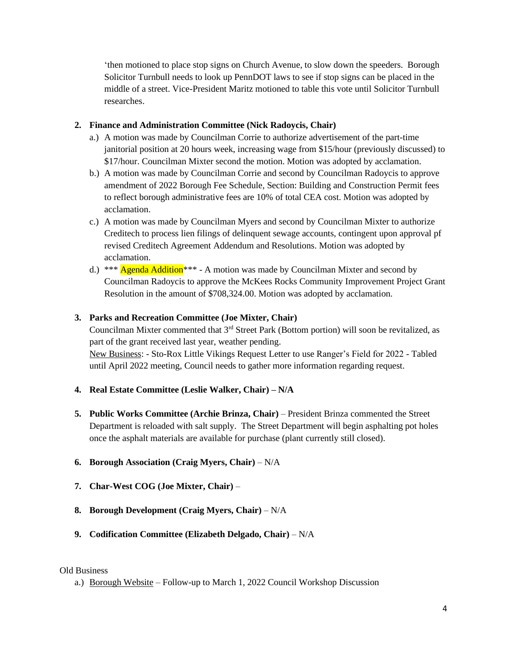'then motioned to place stop signs on Church Avenue, to slow down the speeders. Borough Solicitor Turnbull needs to look up PennDOT laws to see if stop signs can be placed in the middle of a street. Vice-President Maritz motioned to table this vote until Solicitor Turnbull researches.

### **2. Finance and Administration Committee (Nick Radoycis, Chair)**

- a.) A motion was made by Councilman Corrie to authorize advertisement of the part-time janitorial position at 20 hours week, increasing wage from \$15/hour (previously discussed) to \$17/hour. Councilman Mixter second the motion. Motion was adopted by acclamation.
- b.) A motion was made by Councilman Corrie and second by Councilman Radoycis to approve amendment of 2022 Borough Fee Schedule, Section: Building and Construction Permit fees to reflect borough administrative fees are 10% of total CEA cost. Motion was adopted by acclamation.
- c.) A motion was made by Councilman Myers and second by Councilman Mixter to authorize Creditech to process lien filings of delinquent sewage accounts, contingent upon approval pf revised Creditech Agreement Addendum and Resolutions. Motion was adopted by acclamation.
- d.) \*\*\* Agenda Addition<sup>\*\*\*</sup> A motion was made by Councilman Mixter and second by Councilman Radoycis to approve the McKees Rocks Community Improvement Project Grant Resolution in the amount of \$708,324.00. Motion was adopted by acclamation.

## **3. Parks and Recreation Committee (Joe Mixter, Chair)**

Councilman Mixter commented that 3rd Street Park (Bottom portion) will soon be revitalized, as part of the grant received last year, weather pending.

New Business: - Sto-Rox Little Vikings Request Letter to use Ranger's Field for 2022 - Tabled until April 2022 meeting, Council needs to gather more information regarding request.

#### **4. Real Estate Committee (Leslie Walker, Chair) – N/A**

- **5. Public Works Committee (Archie Brinza, Chair)** President Brinza commented the Street Department is reloaded with salt supply. The Street Department will begin asphalting pot holes once the asphalt materials are available for purchase (plant currently still closed).
- **6. Borough Association (Craig Myers, Chair)** N/A
- **7. Char-West COG (Joe Mixter, Chair)** –
- **8. Borough Development (Craig Myers, Chair)** N/A
- **9. Codification Committee (Elizabeth Delgado, Chair)** N/A

#### Old Business

a.) Borough Website – Follow-up to March 1, 2022 Council Workshop Discussion